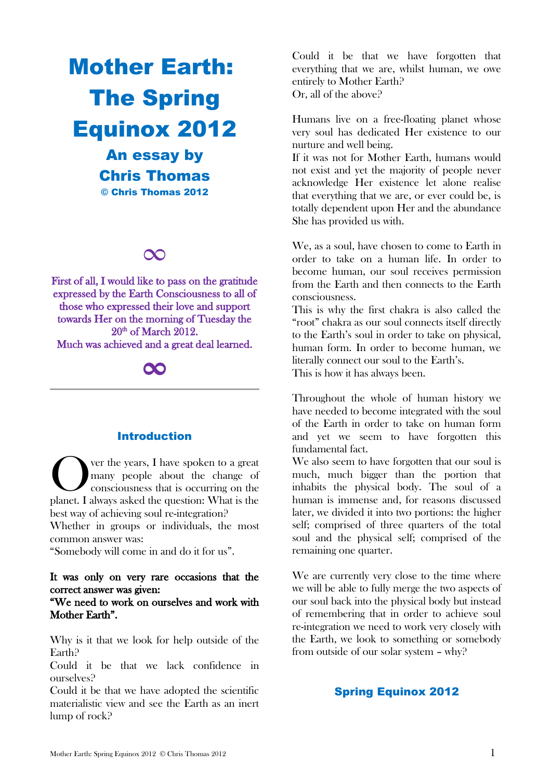# Mother Earth: The Spring Equinox 2012

An essay by Chris Thomas © Chris Thomas 2012

## ∞

First of all, I would like to pass on the gratitude expressed by the Earth Consciousness to all of those who expressed their love and support towards Her on the morning of Tuesday the 20<sup>th</sup> of March 2012. Much was achieved and a great deal learned.

# ∞

## Introduction

ver the years, I have spoken to a great many people about the change of consciousness that is occurring on the **CERN** ver the years, I have spoken to a great many people about the change of consciousness that is occurring on the planet. I always asked the question: What is the best way of achieving soul re-integration?

Whether in groups or individuals, the most common answer was:

"Somebody will come in and do it for us".

#### It was only on very rare occasions that the correct answer was given:

## "We need to work on ourselves and work with Mother Earth".

Why is it that we look for help outside of the Earth?

Could it be that we lack confidence in ourselves?

Could it be that we have adopted the scientific materialistic view and see the Earth as an inert lump of rock?

Could it be that we have forgotten that everything that we are, whilst human, we owe entirely to Mother Earth? Or, all of the above?

Humans live on a free-floating planet whose very soul has dedicated Her existence to our nurture and well being.

If it was not for Mother Earth, humans would not exist and yet the majority of people never acknowledge Her existence let alone realise that everything that we are, or ever could be, is totally dependent upon Her and the abundance She has provided us with.

We, as a soul, have chosen to come to Earth in order to take on a human life. In order to become human, our soul receives permission from the Earth and then connects to the Earth consciousness.

This is why the first chakra is also called the "root" chakra as our soul connects itself directly to the Earth's soul in order to take on physical, human form. In order to become human, we literally connect our soul to the Earth's. This is how it has always been.

Throughout the whole of human history we have needed to become integrated with the soul of the Earth in order to take on human form and yet we seem to have forgotten this fundamental fact.

We also seem to have forgotten that our soul is much, much bigger than the portion that inhabits the physical body. The soul of a human is immense and, for reasons discussed later, we divided it into two portions: the higher self; comprised of three quarters of the total soul and the physical self; comprised of the remaining one quarter.

We are currently very close to the time where we will be able to fully merge the two aspects of our soul back into the physical body but instead of remembering that in order to achieve soul re-integration we need to work very closely with the Earth, we look to something or somebody from outside of our solar system – why?

## Spring Equinox 2012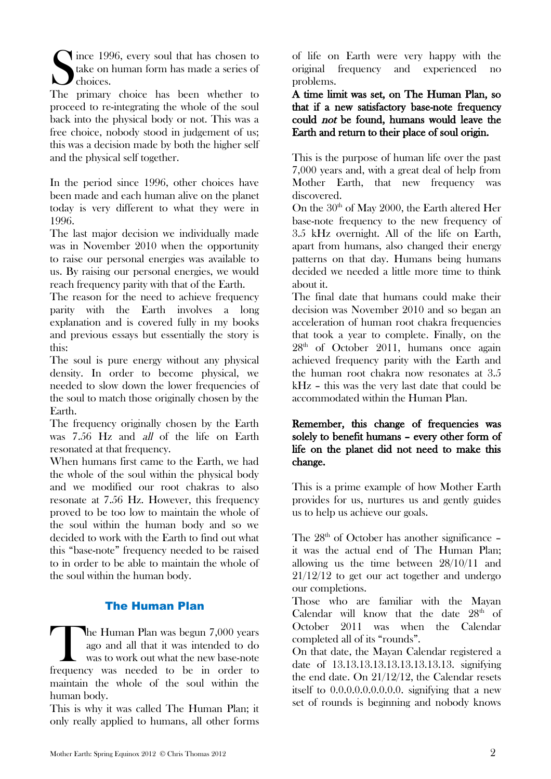Since 1996, every soul that has chosen to<br>take on human form has made a series of<br>the primary choice, has been whether to

The primary choice has been whether to proceed to re-integrating the whole of the soul back into the physical body or not. This was a free choice, nobody stood in judgement of us; this was a decision made by both the higher self and the physical self together.

In the period since 1996, other choices have been made and each human alive on the planet today is very different to what they were in 1996.

The last major decision we individually made was in November 2010 when the opportunity to raise our personal energies was available to us. By raising our personal energies, we would reach frequency parity with that of the Earth.

The reason for the need to achieve frequency parity with the Earth involves a long explanation and is covered fully in my books and previous essays but essentially the story is this:

The soul is pure energy without any physical density. In order to become physical, we needed to slow down the lower frequencies of the soul to match those originally chosen by the Earth.

The frequency originally chosen by the Earth was 7.56 Hz and all of the life on Earth resonated at that frequency.

When humans first came to the Earth, we had the whole of the soul within the physical body and we modified our root chakras to also resonate at 7.56 Hz. However, this frequency proved to be too low to maintain the whole of the soul within the human body and so we decided to work with the Earth to find out what this "base-note" frequency needed to be raised to in order to be able to maintain the whole of the soul within the human body.

## The Human Plan

he Human Plan was begun 7,000 years ago and all that it was intended to do was to work out what the new base-note The Human Plan was begun 7,000 years<br>ago and all that it was intended to do<br>was to work out what the new base-note<br>frequency was needed to be in order to maintain the whole of the soul within the human body.

This is why it was called The Human Plan; it only really applied to humans, all other forms of life on Earth were very happy with the original frequency and experienced no problems.

A time limit was set, on The Human Plan, so that if a new satisfactory base-note frequency could not be found, humans would leave the Earth and return to their place of soul origin.

This is the purpose of human life over the past 7,000 years and, with a great deal of help from Mother Earth, that new frequency was discovered.

On the  $30<sup>th</sup>$  of May 2000, the Earth altered Her base-note frequency to the new frequency of 3.5 kHz overnight. All of the life on Earth, apart from humans, also changed their energy patterns on that day. Humans being humans decided we needed a little more time to think about it.

The final date that humans could make their decision was November 2010 and so began an acceleration of human root chakra frequencies that took a year to complete. Finally, on the 28th of October 2011, humans once again achieved frequency parity with the Earth and the human root chakra now resonates at 3.5 kHz – this was the very last date that could be accommodated within the Human Plan.

## Remember, this change of frequencies was solely to benefit humans – every other form of life on the planet did not need to make this change.

This is a prime example of how Mother Earth provides for us, nurtures us and gently guides us to help us achieve our goals.

The 28<sup>th</sup> of October has another significance it was the actual end of The Human Plan; allowing us the time between 28/10/11 and 21/12/12 to get our act together and undergo our completions.

Those who are familiar with the Mayan Calendar will know that the date  $28<sup>th</sup>$  of October 2011 was when the Calendar completed all of its "rounds".

On that date, the Mayan Calendar registered a date of 13.13.13.13.13.13.13.13.13. signifying the end date. On 21/12/12, the Calendar resets itself to 0.0.0.0.0.0.0.0.0. signifying that a new set of rounds is beginning and nobody knows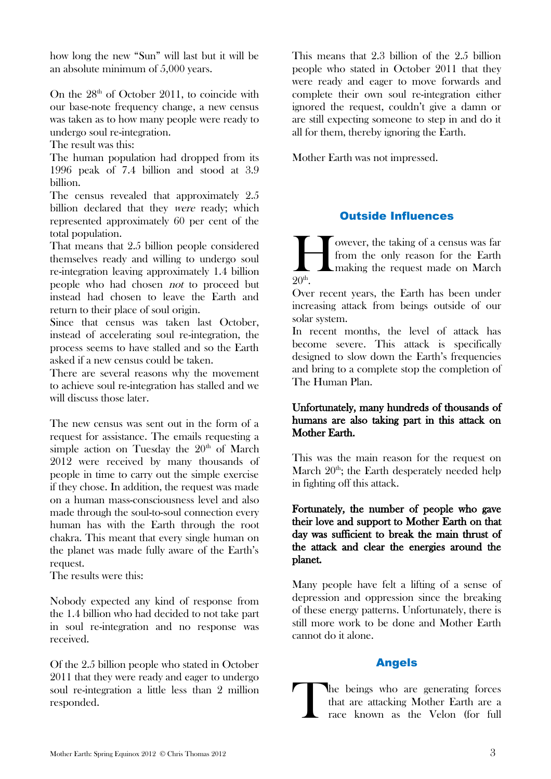how long the new "Sun" will last but it will be an absolute minimum of 5,000 years.

On the  $28<sup>th</sup>$  of October 2011, to coincide with our base-note frequency change, a new census was taken as to how many people were ready to undergo soul re-integration.

The result was this:

The human population had dropped from its 1996 peak of 7.4 billion and stood at 3.9 billion.

The census revealed that approximately 2.5 billion declared that they were ready; which represented approximately 60 per cent of the total population.

That means that 2.5 billion people considered themselves ready and willing to undergo soul re-integration leaving approximately 1.4 billion people who had chosen not to proceed but instead had chosen to leave the Earth and return to their place of soul origin.

Since that census was taken last October, instead of accelerating soul re-integration, the process seems to have stalled and so the Earth asked if a new census could be taken.

There are several reasons why the movement to achieve soul re-integration has stalled and we will discuss those later.

The new census was sent out in the form of a request for assistance. The emails requesting a simple action on Tuesday the  $20<sup>th</sup>$  of March 2012 were received by many thousands of people in time to carry out the simple exercise if they chose. In addition, the request was made on a human mass-consciousness level and also made through the soul-to-soul connection every human has with the Earth through the root chakra. This meant that every single human on the planet was made fully aware of the Earth's request.

The results were this:

Nobody expected any kind of response from the 1.4 billion who had decided to not take part in soul re-integration and no response was received.

Of the 2.5 billion people who stated in October 2011 that they were ready and eager to undergo soul re-integration a little less than 2 million responded.

This means that 2.3 billion of the 2.5 billion people who stated in October 2011 that they were ready and eager to move forwards and complete their own soul re-integration either ignored the request, couldn't give a damn or are still expecting someone to step in and do it all for them, thereby ignoring the Earth.

Mother Earth was not impressed.

## Outside Influences

owever, the taking of a census was far from the only reason for the Earth making the request made on March  $20<sup>th</sup>$ .  $\prod_{20^{\text{th}}}$ 

Over recent years, the Earth has been under increasing attack from beings outside of our solar system.

In recent months, the level of attack has become severe. This attack is specifically designed to slow down the Earth's frequencies and bring to a complete stop the completion of The Human Plan.

## Unfortunately, many hundreds of thousands of humans are also taking part in this attack on Mother Earth.

This was the main reason for the request on March  $20<sup>th</sup>$ ; the Earth desperately needed help in fighting off this attack.

## Fortunately, the number of people who gave their love and support to Mother Earth on that day was sufficient to break the main thrust of the attack and clear the energies around the planet.

Many people have felt a lifting of a sense of depression and oppression since the breaking of these energy patterns. Unfortunately, there is still more work to be done and Mother Earth cannot do it alone.

## Angels

he beings who are generating forces that are attacking Mother Earth are a race known as the Velon (for full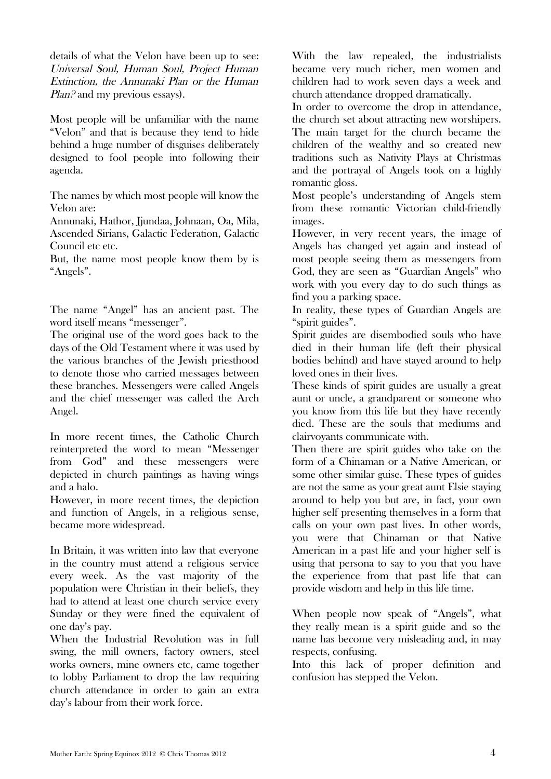details of what the Velon have been up to see: Universal Soul, Human Soul, Project Human Extinction, the Annunaki Plan or the Human Plan.<sup>2</sup> and my previous essays).

Most people will be unfamiliar with the name "Velon" and that is because they tend to hide behind a huge number of disguises deliberately designed to fool people into following their agenda.

The names by which most people will know the Velon are:

Annunaki, Hathor, Jjundaa, Johnaan, Oa, Mila, Ascended Sirians, Galactic Federation, Galactic Council etc etc.

But, the name most people know them by is "Angels".

The name "Angel" has an ancient past. The word itself means "messenger".

The original use of the word goes back to the days of the Old Testament where it was used by the various branches of the Jewish priesthood to denote those who carried messages between these branches. Messengers were called Angels and the chief messenger was called the Arch Angel.

In more recent times, the Catholic Church reinterpreted the word to mean "Messenger from God" and these messengers were depicted in church paintings as having wings and a halo.

However, in more recent times, the depiction and function of Angels, in a religious sense, became more widespread.

In Britain, it was written into law that everyone in the country must attend a religious service every week. As the vast majority of the population were Christian in their beliefs, they had to attend at least one church service every Sunday or they were fined the equivalent of one day's pay.

When the Industrial Revolution was in full swing, the mill owners, factory owners, steel works owners, mine owners etc, came together to lobby Parliament to drop the law requiring church attendance in order to gain an extra day's labour from their work force.

With the law repealed, the industrialists became very much richer, men women and children had to work seven days a week and church attendance dropped dramatically.

In order to overcome the drop in attendance, the church set about attracting new worshipers. The main target for the church became the children of the wealthy and so created new traditions such as Nativity Plays at Christmas and the portrayal of Angels took on a highly romantic gloss.

Most people's understanding of Angels stem from these romantic Victorian child-friendly images.

However, in very recent years, the image of Angels has changed yet again and instead of most people seeing them as messengers from God, they are seen as "Guardian Angels" who work with you every day to do such things as find you a parking space.

In reality, these types of Guardian Angels are "spirit guides".

Spirit guides are disembodied souls who have died in their human life (left their physical bodies behind) and have stayed around to help loved ones in their lives.

These kinds of spirit guides are usually a great aunt or uncle, a grandparent or someone who you know from this life but they have recently died. These are the souls that mediums and clairvoyants communicate with.

Then there are spirit guides who take on the form of a Chinaman or a Native American, or some other similar guise. These types of guides are not the same as your great aunt Elsie staying around to help you but are, in fact, your own higher self presenting themselves in a form that calls on your own past lives. In other words, you were that Chinaman or that Native American in a past life and your higher self is using that persona to say to you that you have the experience from that past life that can provide wisdom and help in this life time.

When people now speak of "Angels", what they really mean is a spirit guide and so the name has become very misleading and, in may respects, confusing.

Into this lack of proper definition and confusion has stepped the Velon.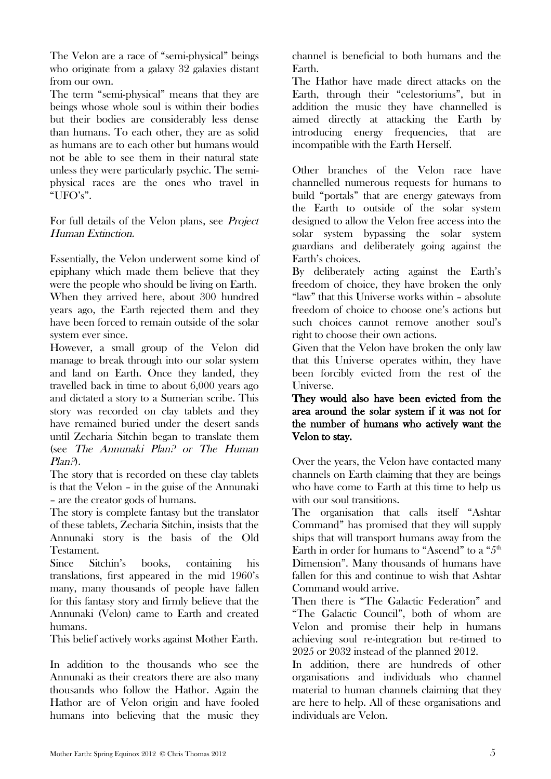The Velon are a race of "semi-physical" beings who originate from a galaxy 32 galaxies distant from our own.

The term "semi-physical" means that they are beings whose whole soul is within their bodies but their bodies are considerably less dense than humans. To each other, they are as solid as humans are to each other but humans would not be able to see them in their natural state unless they were particularly psychic. The semiphysical races are the ones who travel in "UFO's".

For full details of the Velon plans, see Project Human Extinction.

Essentially, the Velon underwent some kind of epiphany which made them believe that they were the people who should be living on Earth. When they arrived here, about 300 hundred years ago, the Earth rejected them and they have been forced to remain outside of the solar system ever since.

However, a small group of the Velon did manage to break through into our solar system and land on Earth. Once they landed, they travelled back in time to about 6,000 years ago and dictated a story to a Sumerian scribe. This story was recorded on clay tablets and they have remained buried under the desert sands until Zecharia Sitchin began to translate them (see The Annunaki Plan? or The Human Plan?).

The story that is recorded on these clay tablets is that the Velon – in the guise of the Annunaki – are the creator gods of humans.

The story is complete fantasy but the translator of these tablets, Zecharia Sitchin, insists that the Annunaki story is the basis of the Old Testament.

Since Sitchin's books, containing his translations, first appeared in the mid 1960's many, many thousands of people have fallen for this fantasy story and firmly believe that the Annunaki (Velon) came to Earth and created humans.

This belief actively works against Mother Earth.

In addition to the thousands who see the Annunaki as their creators there are also many thousands who follow the Hathor. Again the Hathor are of Velon origin and have fooled humans into believing that the music they channel is beneficial to both humans and the Earth.

The Hathor have made direct attacks on the Earth, through their "celestoriums", but in addition the music they have channelled is aimed directly at attacking the Earth by introducing energy frequencies, that are incompatible with the Earth Herself.

Other branches of the Velon race have channelled numerous requests for humans to build "portals" that are energy gateways from the Earth to outside of the solar system designed to allow the Velon free access into the solar system bypassing the solar system guardians and deliberately going against the Earth's choices.

By deliberately acting against the Earth's freedom of choice, they have broken the only "law" that this Universe works within – absolute freedom of choice to choose one's actions but such choices cannot remove another soul's right to choose their own actions.

Given that the Velon have broken the only law that this Universe operates within, they have been forcibly evicted from the rest of the Universe.

They would also have been evicted from the area around the solar system if it was not for the number of humans who actively want the Velon to stay.

Over the years, the Velon have contacted many channels on Earth claiming that they are beings who have come to Earth at this time to help us with our soul transitions.

The organisation that calls itself "Ashtar Command" has promised that they will supply ships that will transport humans away from the Earth in order for humans to "Ascend" to a "5<sup>th</sup> Dimension". Many thousands of humans have fallen for this and continue to wish that Ashtar Command would arrive.

Then there is "The Galactic Federation" and "The Galactic Council", both of whom are Velon and promise their help in humans achieving soul re-integration but re-timed to 2025 or 2032 instead of the planned 2012.

In addition, there are hundreds of other organisations and individuals who channel material to human channels claiming that they are here to help. All of these organisations and individuals are Velon.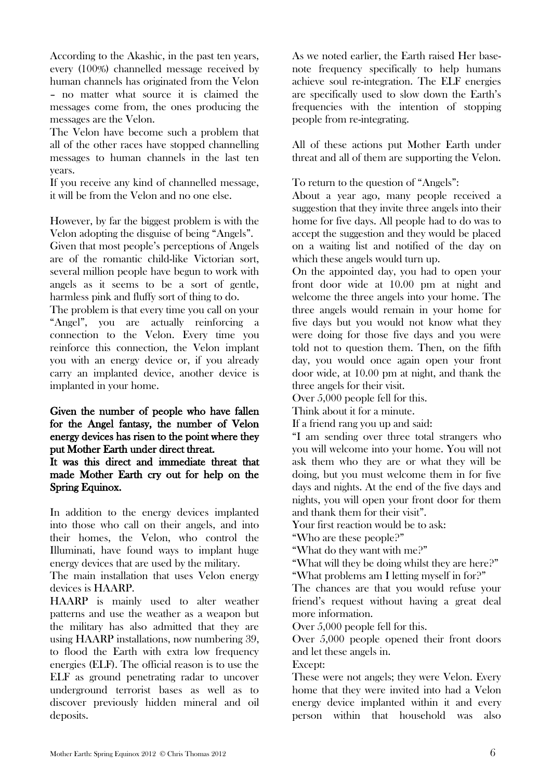According to the Akashic, in the past ten years, every (100%) channelled message received by human channels has originated from the Velon – no matter what source it is claimed the messages come from, the ones producing the messages are the Velon.

The Velon have become such a problem that all of the other races have stopped channelling messages to human channels in the last ten years.

If you receive any kind of channelled message, it will be from the Velon and no one else.

However, by far the biggest problem is with the Velon adopting the disguise of being "Angels".

Given that most people's perceptions of Angels are of the romantic child-like Victorian sort, several million people have begun to work with angels as it seems to be a sort of gentle, harmless pink and fluffy sort of thing to do.

The problem is that every time you call on your "Angel", you are actually reinforcing a connection to the Velon. Every time you reinforce this connection, the Velon implant you with an energy device or, if you already carry an implanted device, another device is implanted in your home.

### Given the number of people who have fallen for the Angel fantasy, the number of Velon energy devices has risen to the point where they put Mother Earth under direct threat.

It was this direct and immediate threat that made Mother Earth cry out for help on the Spring Equinox.

In addition to the energy devices implanted into those who call on their angels, and into their homes, the Velon, who control the Illuminati, have found ways to implant huge energy devices that are used by the military.

The main installation that uses Velon energy devices is HAARP.

HAARP is mainly used to alter weather patterns and use the weather as a weapon but the military has also admitted that they are using HAARP installations, now numbering 39, to flood the Earth with extra low frequency energies (ELF). The official reason is to use the ELF as ground penetrating radar to uncover underground terrorist bases as well as to discover previously hidden mineral and oil deposits.

As we noted earlier, the Earth raised Her basenote frequency specifically to help humans achieve soul re-integration. The ELF energies are specifically used to slow down the Earth's frequencies with the intention of stopping people from re-integrating.

All of these actions put Mother Earth under threat and all of them are supporting the Velon.

To return to the question of "Angels":

About a year ago, many people received a suggestion that they invite three angels into their home for five days. All people had to do was to accept the suggestion and they would be placed on a waiting list and notified of the day on which these angels would turn up.

On the appointed day, you had to open your front door wide at 10.00 pm at night and welcome the three angels into your home. The three angels would remain in your home for five days but you would not know what they were doing for those five days and you were told not to question them. Then, on the fifth day, you would once again open your front door wide, at 10.00 pm at night, and thank the three angels for their visit.

Over 5,000 people fell for this.

Think about it for a minute.

If a friend rang you up and said:

"I am sending over three total strangers who you will welcome into your home. You will not ask them who they are or what they will be doing, but you must welcome them in for five days and nights. At the end of the five days and nights, you will open your front door for them and thank them for their visit".

Your first reaction would be to ask:

"Who are these people?"

"What do they want with me?"

"What will they be doing whilst they are here?" "What problems am I letting myself in for?"

The chances are that you would refuse your friend's request without having a great deal more information.

Over 5,000 people fell for this.

Over 5,000 people opened their front doors and let these angels in.

Except:

These were not angels; they were Velon. Every home that they were invited into had a Velon energy device implanted within it and every person within that household was also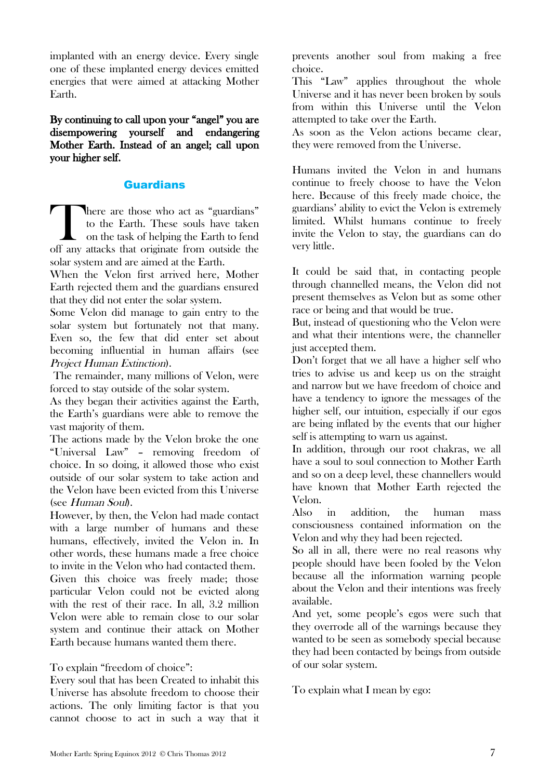implanted with an energy device. Every single one of these implanted energy devices emitted energies that were aimed at attacking Mother Earth.

By continuing to call upon your "angel" you are disempowering yourself and endangering Mother Earth. Instead of an angel; call upon your higher self.

## Guardians

here are those who act as "guardians" to the Earth. These souls have taken on the task of helping the Earth to fend There are those who act as "guardians" to the Earth. These souls have taken on the task of helping the Earth to fend off any attacks that originate from outside the solar system and are aimed at the Earth.

When the Velon first arrived here, Mother Earth rejected them and the guardians ensured that they did not enter the solar system.

Some Velon did manage to gain entry to the solar system but fortunately not that many. Even so, the few that did enter set about becoming influential in human affairs (see Project Human Extinction).

 The remainder, many millions of Velon, were forced to stay outside of the solar system.

As they began their activities against the Earth, the Earth's guardians were able to remove the vast majority of them.

The actions made by the Velon broke the one "Universal Law" – removing freedom of choice. In so doing, it allowed those who exist outside of our solar system to take action and the Velon have been evicted from this Universe (see Human Soul).

However, by then, the Velon had made contact with a large number of humans and these humans, effectively, invited the Velon in. In other words, these humans made a free choice to invite in the Velon who had contacted them. Given this choice was freely made; those particular Velon could not be evicted along with the rest of their race. In all, 3.2 million Velon were able to remain close to our solar system and continue their attack on Mother Earth because humans wanted them there.

To explain "freedom of choice":

Every soul that has been Created to inhabit this Universe has absolute freedom to choose their actions. The only limiting factor is that you cannot choose to act in such a way that it prevents another soul from making a free choice.

This "Law" applies throughout the whole Universe and it has never been broken by souls from within this Universe until the Velon attempted to take over the Earth.

As soon as the Velon actions became clear, they were removed from the Universe.

Humans invited the Velon in and humans continue to freely choose to have the Velon here. Because of this freely made choice, the guardians' ability to evict the Velon is extremely limited. Whilst humans continue to freely invite the Velon to stay, the guardians can do very little.

It could be said that, in contacting people through channelled means, the Velon did not present themselves as Velon but as some other race or being and that would be true.

But, instead of questioning who the Velon were and what their intentions were, the channeller just accepted them.

Don't forget that we all have a higher self who tries to advise us and keep us on the straight and narrow but we have freedom of choice and have a tendency to ignore the messages of the higher self, our intuition, especially if our egos are being inflated by the events that our higher self is attempting to warn us against.

In addition, through our root chakras, we all have a soul to soul connection to Mother Earth and so on a deep level, these channellers would have known that Mother Earth rejected the Velon.

Also in addition, the human mass consciousness contained information on the Velon and why they had been rejected.

So all in all, there were no real reasons why people should have been fooled by the Velon because all the information warning people about the Velon and their intentions was freely available.

And yet, some people's egos were such that they overrode all of the warnings because they wanted to be seen as somebody special because they had been contacted by beings from outside of our solar system.

To explain what I mean by ego: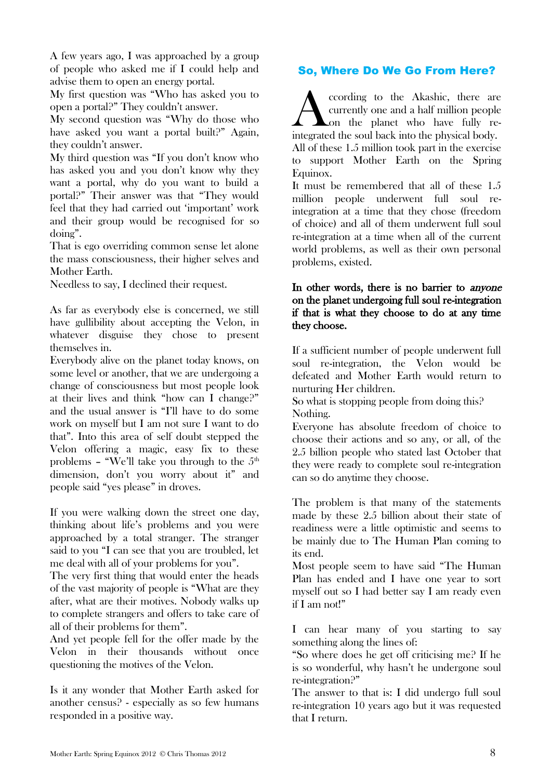A few years ago, I was approached by a group of people who asked me if I could help and advise them to open an energy portal.

My first question was "Who has asked you to open a portal?" They couldn't answer.

My second question was "Why do those who have asked you want a portal built?" Again, they couldn't answer.

My third question was "If you don't know who has asked you and you don't know why they want a portal, why do you want to build a portal?" Their answer was that "They would feel that they had carried out 'important' work and their group would be recognised for so doing".

That is ego overriding common sense let alone the mass consciousness, their higher selves and Mother Earth.

Needless to say, I declined their request.

As far as everybody else is concerned, we still have gullibility about accepting the Velon, in whatever disguise they chose to present themselves in.

Everybody alive on the planet today knows, on some level or another, that we are undergoing a change of consciousness but most people look at their lives and think "how can I change?" and the usual answer is "I'll have to do some work on myself but I am not sure I want to do that". Into this area of self doubt stepped the Velon offering a magic, easy fix to these problems – "We'll take you through to the  $5<sup>th</sup>$ dimension, don't you worry about it" and people said "yes please" in droves.

If you were walking down the street one day, thinking about life's problems and you were approached by a total stranger. The stranger said to you "I can see that you are troubled, let me deal with all of your problems for you".

The very first thing that would enter the heads of the vast majority of people is "What are they after, what are their motives. Nobody walks up to complete strangers and offers to take care of all of their problems for them".

And yet people fell for the offer made by the Velon in their thousands without once questioning the motives of the Velon.

Is it any wonder that Mother Earth asked for another census? - especially as so few humans responded in a positive way.

## So, Where Do We Go From Here?

ccording to the Akashic, there are currently one and a half million people on the planet who have fully recoording to the Akashic, there are currently one and a half million people on the planet who have fully reintegrated the soul back into the physical body. All of these 1.5 million took part in the exercise to support Mother Earth on the Spring Equinox. It must be remembered that all of these 1.5 million people underwent full soul re-

integration at a time that they chose (freedom of choice) and all of them underwent full soul re-integration at a time when all of the current world problems, as well as their own personal problems, existed.

## In other words, there is no barrier to *anyone* on the planet undergoing full soul re-integration if that is what they choose to do at any time they choose.

If a sufficient number of people underwent full soul re-integration, the Velon would be defeated and Mother Earth would return to nurturing Her children.

So what is stopping people from doing this? Nothing.

Everyone has absolute freedom of choice to choose their actions and so any, or all, of the 2.5 billion people who stated last October that they were ready to complete soul re-integration can so do anytime they choose.

The problem is that many of the statements made by these 2.5 billion about their state of readiness were a little optimistic and seems to be mainly due to The Human Plan coming to its end.

Most people seem to have said "The Human Plan has ended and I have one year to sort myself out so I had better say I am ready even if I am not!"

I can hear many of you starting to say something along the lines of:

"So where does he get off criticising me? If he is so wonderful, why hasn't he undergone soul re-integration?"

The answer to that is: I did undergo full soul re-integration 10 years ago but it was requested that I return.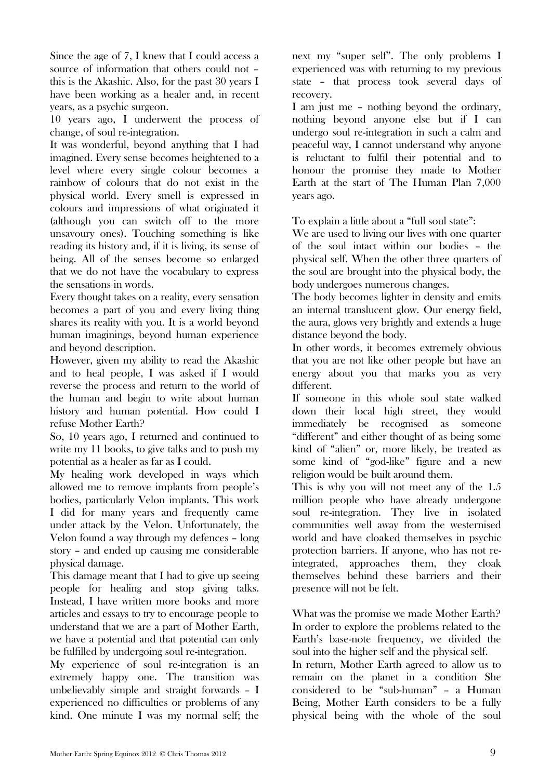Since the age of 7, I knew that I could access a source of information that others could not – this is the Akashic. Also, for the past 30 years I have been working as a healer and, in recent years, as a psychic surgeon.

10 years ago, I underwent the process of change, of soul re-integration.

It was wonderful, beyond anything that I had imagined. Every sense becomes heightened to a level where every single colour becomes a rainbow of colours that do not exist in the physical world. Every smell is expressed in colours and impressions of what originated it (although you can switch off to the more unsavoury ones). Touching something is like reading its history and, if it is living, its sense of being. All of the senses become so enlarged that we do not have the vocabulary to express the sensations in words.

Every thought takes on a reality, every sensation becomes a part of you and every living thing shares its reality with you. It is a world beyond human imaginings, beyond human experience and beyond description.

However, given my ability to read the Akashic and to heal people, I was asked if I would reverse the process and return to the world of the human and begin to write about human history and human potential. How could I refuse Mother Earth?

So, 10 years ago, I returned and continued to write my 11 books, to give talks and to push my potential as a healer as far as I could.

My healing work developed in ways which allowed me to remove implants from people's bodies, particularly Velon implants. This work I did for many years and frequently came under attack by the Velon. Unfortunately, the Velon found a way through my defences – long story – and ended up causing me considerable physical damage.

This damage meant that I had to give up seeing people for healing and stop giving talks. Instead, I have written more books and more articles and essays to try to encourage people to understand that we are a part of Mother Earth, we have a potential and that potential can only be fulfilled by undergoing soul re-integration.

My experience of soul re-integration is an extremely happy one. The transition was unbelievably simple and straight forwards – I experienced no difficulties or problems of any kind. One minute I was my normal self; the next my "super self". The only problems I experienced was with returning to my previous state – that process took several days of recovery.

I am just me – nothing beyond the ordinary, nothing beyond anyone else but if I can undergo soul re-integration in such a calm and peaceful way, I cannot understand why anyone is reluctant to fulfil their potential and to honour the promise they made to Mother Earth at the start of The Human Plan 7,000 years ago.

To explain a little about a "full soul state":

We are used to living our lives with one quarter of the soul intact within our bodies – the physical self. When the other three quarters of the soul are brought into the physical body, the body undergoes numerous changes.

The body becomes lighter in density and emits an internal translucent glow. Our energy field, the aura, glows very brightly and extends a huge distance beyond the body.

In other words, it becomes extremely obvious that you are not like other people but have an energy about you that marks you as very different.

If someone in this whole soul state walked down their local high street, they would immediately be recognised as someone "different" and either thought of as being some kind of "alien" or, more likely, be treated as some kind of "god-like" figure and a new religion would be built around them.

This is why you will not meet any of the 1.5 million people who have already undergone soul re-integration. They live in isolated communities well away from the westernised world and have cloaked themselves in psychic protection barriers. If anyone, who has not reintegrated, approaches them, they cloak themselves behind these barriers and their presence will not be felt.

What was the promise we made Mother Earth? In order to explore the problems related to the Earth's base-note frequency, we divided the soul into the higher self and the physical self.

In return, Mother Earth agreed to allow us to remain on the planet in a condition She considered to be "sub-human" – a Human Being, Mother Earth considers to be a fully physical being with the whole of the soul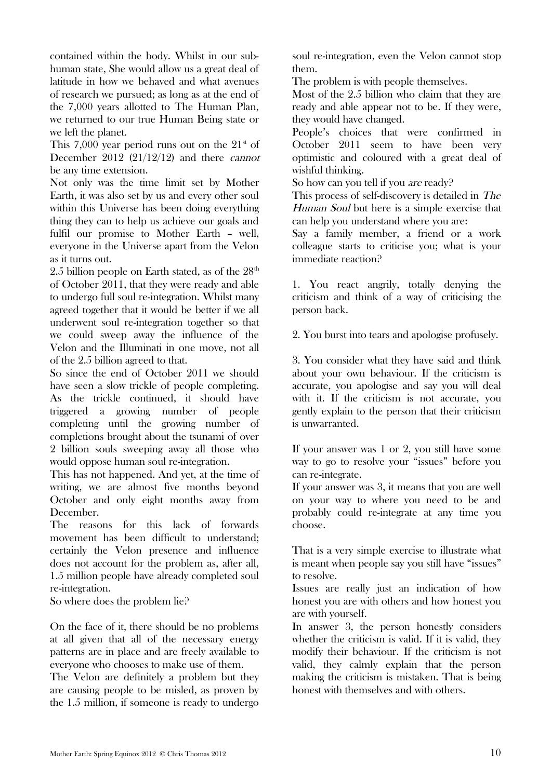contained within the body. Whilst in our subhuman state, She would allow us a great deal of latitude in how we behaved and what avenues of research we pursued; as long as at the end of the 7,000 years allotted to The Human Plan, we returned to our true Human Being state or we left the planet.

This 7,000 year period runs out on the  $21<sup>st</sup>$  of December 2012 (21/12/12) and there cannot be any time extension.

Not only was the time limit set by Mother Earth, it was also set by us and every other soul within this Universe has been doing everything thing they can to help us achieve our goals and fulfil our promise to Mother Earth – well, everyone in the Universe apart from the Velon as it turns out.

2.5 billion people on Earth stated, as of the  $28<sup>th</sup>$ of October 2011, that they were ready and able to undergo full soul re-integration. Whilst many agreed together that it would be better if we all underwent soul re-integration together so that we could sweep away the influence of the Velon and the Illuminati in one move, not all of the 2.5 billion agreed to that.

So since the end of October 2011 we should have seen a slow trickle of people completing. As the trickle continued, it should have triggered a growing number of people completing until the growing number of completions brought about the tsunami of over 2 billion souls sweeping away all those who would oppose human soul re-integration.

This has not happened. And yet, at the time of writing, we are almost five months beyond October and only eight months away from December.

The reasons for this lack of forwards movement has been difficult to understand; certainly the Velon presence and influence does not account for the problem as, after all, 1.5 million people have already completed soul re-integration.

So where does the problem lie?

On the face of it, there should be no problems at all given that all of the necessary energy patterns are in place and are freely available to everyone who chooses to make use of them.

The Velon are definitely a problem but they are causing people to be misled, as proven by the 1.5 million, if someone is ready to undergo soul re-integration, even the Velon cannot stop them.

The problem is with people themselves.

Most of the 2.5 billion who claim that they are ready and able appear not to be. If they were, they would have changed.

People's choices that were confirmed in October 2011 seem to have been very optimistic and coloured with a great deal of wishful thinking.

So how can you tell if you *are* ready?

This process of self-discovery is detailed in The Human Soul but here is a simple exercise that can help you understand where you are:

Say a family member, a friend or a work colleague starts to criticise you; what is your immediate reaction?

1. You react angrily, totally denying the criticism and think of a way of criticising the person back.

2. You burst into tears and apologise profusely.

3. You consider what they have said and think about your own behaviour. If the criticism is accurate, you apologise and say you will deal with it. If the criticism is not accurate, you gently explain to the person that their criticism is unwarranted.

If your answer was 1 or 2, you still have some way to go to resolve your "issues" before you can re-integrate.

If your answer was 3, it means that you are well on your way to where you need to be and probably could re-integrate at any time you choose.

That is a very simple exercise to illustrate what is meant when people say you still have "issues" to resolve.

Issues are really just an indication of how honest you are with others and how honest you are with yourself.

In answer 3, the person honestly considers whether the criticism is valid. If it is valid, they modify their behaviour. If the criticism is not valid, they calmly explain that the person making the criticism is mistaken. That is being honest with themselves and with others.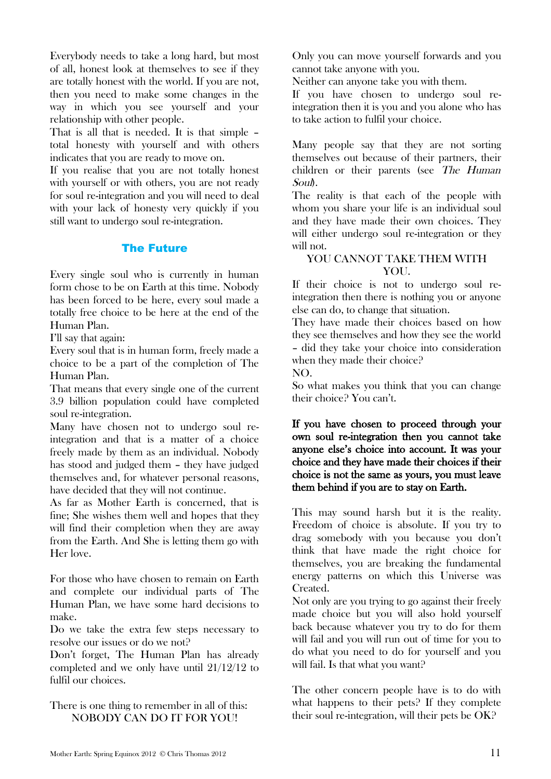Everybody needs to take a long hard, but most of all, honest look at themselves to see if they are totally honest with the world. If you are not, then you need to make some changes in the way in which you see yourself and your relationship with other people.

That is all that is needed. It is that simple – total honesty with yourself and with others indicates that you are ready to move on.

If you realise that you are not totally honest with yourself or with others, you are not ready for soul re-integration and you will need to deal with your lack of honesty very quickly if you still want to undergo soul re-integration.

#### The Future

Every single soul who is currently in human form chose to be on Earth at this time. Nobody has been forced to be here, every soul made a totally free choice to be here at the end of the Human Plan.

I'll say that again:

Every soul that is in human form, freely made a choice to be a part of the completion of The Human Plan.

That means that every single one of the current 3.9 billion population could have completed soul re-integration.

Many have chosen not to undergo soul reintegration and that is a matter of a choice freely made by them as an individual. Nobody has stood and judged them – they have judged themselves and, for whatever personal reasons, have decided that they will not continue.

As far as Mother Earth is concerned, that is fine; She wishes them well and hopes that they will find their completion when they are away from the Earth. And She is letting them go with Her love.

For those who have chosen to remain on Earth and complete our individual parts of The Human Plan, we have some hard decisions to make.

Do we take the extra few steps necessary to resolve our issues or do we not?

Don't forget, The Human Plan has already completed and we only have until 21/12/12 to fulfil our choices.

There is one thing to remember in all of this: NOBODY CAN DO IT FOR YOU!

Only you can move yourself forwards and you cannot take anyone with you.

Neither can anyone take you with them.

If you have chosen to undergo soul reintegration then it is you and you alone who has to take action to fulfil your choice.

Many people say that they are not sorting themselves out because of their partners, their children or their parents (see The Human Soul).

The reality is that each of the people with whom you share your life is an individual soul and they have made their own choices. They will either undergo soul re-integration or they will not.

## YOU CANNOT TAKE THEM WITH YOU.

If their choice is not to undergo soul reintegration then there is nothing you or anyone else can do, to change that situation.

They have made their choices based on how they see themselves and how they see the world – did they take your choice into consideration when they made their choice?

NO.

So what makes you think that you can change their choice? You can't.

If you have chosen to proceed through your own soul re-integration then you cannot take anyone else's choice into account. It was your choice and they have made their choices if their choice is not the same as yours, you must leave them behind if you are to stay on Earth.

This may sound harsh but it is the reality. Freedom of choice is absolute. If you try to drag somebody with you because you don't think that have made the right choice for themselves, you are breaking the fundamental energy patterns on which this Universe was Created.

Not only are you trying to go against their freely made choice but you will also hold yourself back because whatever you try to do for them will fail and you will run out of time for you to do what you need to do for yourself and you will fail. Is that what you want?

The other concern people have is to do with what happens to their pets? If they complete their soul re-integration, will their pets be OK?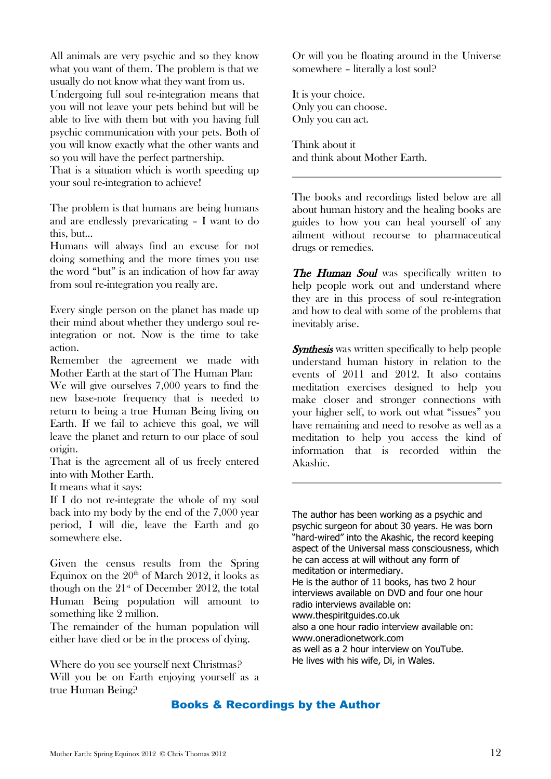All animals are very psychic and so they know what you want of them. The problem is that we usually do not know what they want from us.

Undergoing full soul re-integration means that you will not leave your pets behind but will be able to live with them but with you having full psychic communication with your pets. Both of you will know exactly what the other wants and so you will have the perfect partnership.

That is a situation which is worth speeding up your soul re-integration to achieve!

The problem is that humans are being humans and are endlessly prevaricating – I want to do this, but...

Humans will always find an excuse for not doing something and the more times you use the word "but" is an indication of how far away from soul re-integration you really are.

Every single person on the planet has made up their mind about whether they undergo soul reintegration or not. Now is the time to take action.

Remember the agreement we made with Mother Earth at the start of The Human Plan:

We will give ourselves 7,000 years to find the new base-note frequency that is needed to return to being a true Human Being living on Earth. If we fail to achieve this goal, we will leave the planet and return to our place of soul origin.

That is the agreement all of us freely entered into with Mother Earth.

It means what it says:

If I do not re-integrate the whole of my soul back into my body by the end of the 7,000 year period, I will die, leave the Earth and go somewhere else.

Given the census results from the Spring Equinox on the  $20<sup>th</sup>$  of March 2012, it looks as though on the  $21<sup>st</sup>$  of December 2012, the total Human Being population will amount to something like 2 million.

The remainder of the human population will either have died or be in the process of dying.

Where do you see yourself next Christmas? Will you be on Earth enjoying yourself as a true Human Being?

Or will you be floating around in the Universe somewhere – literally a lost soul?

It is your choice. Only you can choose. Only you can act.

Think about it and think about Mother Earth.

The books and recordings listed below are all about human history and the healing books are guides to how you can heal yourself of any ailment without recourse to pharmaceutical drugs or remedies.

The Human Soul was specifically written to help people work out and understand where they are in this process of soul re-integration and how to deal with some of the problems that inevitably arise.

**Synthesis** was written specifically to help people understand human history in relation to the events of 2011 and 2012. It also contains meditation exercises designed to help you make closer and stronger connections with your higher self, to work out what "issues" you have remaining and need to resolve as well as a meditation to help you access the kind of information that is recorded within the Akashic.

The author has been working as a psychic and psychic surgeon for about 30 years. He was born "hard-wired" into the Akashic, the record keeping aspect of the Universal mass consciousness, which he can access at will without any form of meditation or intermediary. He is the author of 11 books, has two 2 hour interviews available on DVD and four one hour radio interviews available on: www.thespiritguides.co.uk also a one hour radio interview available on: www.oneradionetwork.com as well as a 2 hour interview on YouTube. He lives with his wife, Di, in Wales.

## Books & Recordings by the Author